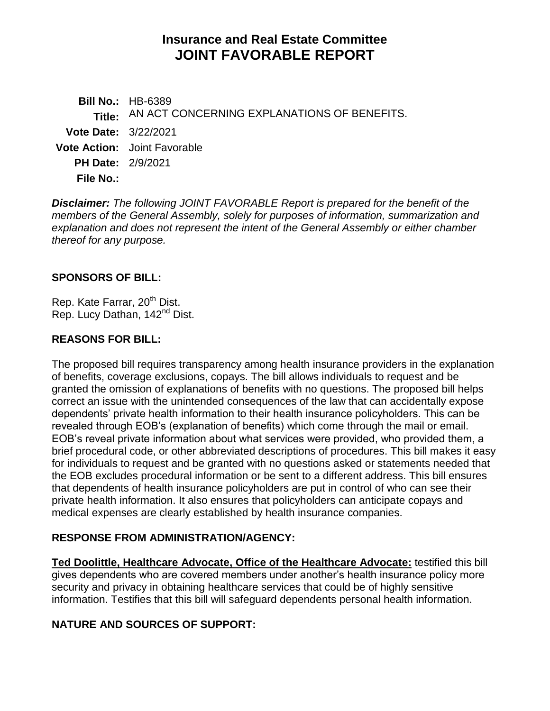# **Insurance and Real Estate Committee JOINT FAVORABLE REPORT**

**Bill No.:** HB-6389 **Title:** AN ACT CONCERNING EXPLANATIONS OF BENEFITS. **Vote Date:** 3/22/2021 **Vote Action:** Joint Favorable **PH Date:** 2/9/2021 **File No.:**

*Disclaimer: The following JOINT FAVORABLE Report is prepared for the benefit of the members of the General Assembly, solely for purposes of information, summarization and explanation and does not represent the intent of the General Assembly or either chamber thereof for any purpose.*

### **SPONSORS OF BILL:**

Rep. Kate Farrar, 20<sup>th</sup> Dist. Rep. Lucy Dathan, 142<sup>nd</sup> Dist.

### **REASONS FOR BILL:**

The proposed bill requires transparency among health insurance providers in the explanation of benefits, coverage exclusions, copays. The bill allows individuals to request and be granted the omission of explanations of benefits with no questions. The proposed bill helps correct an issue with the unintended consequences of the law that can accidentally expose dependents' private health information to their health insurance policyholders. This can be revealed through EOB's (explanation of benefits) which come through the mail or email. EOB's reveal private information about what services were provided, who provided them, a brief procedural code, or other abbreviated descriptions of procedures. This bill makes it easy for individuals to request and be granted with no questions asked or statements needed that the EOB excludes procedural information or be sent to a different address. This bill ensures that dependents of health insurance policyholders are put in control of who can see their private health information. It also ensures that policyholders can anticipate copays and medical expenses are clearly established by health insurance companies.

# **RESPONSE FROM ADMINISTRATION/AGENCY:**

**Ted Doolittle, Healthcare Advocate, Office of the Healthcare Advocate:** testified this bill gives dependents who are covered members under another's health insurance policy more security and privacy in obtaining healthcare services that could be of highly sensitive information. Testifies that this bill will safeguard dependents personal health information.

# **NATURE AND SOURCES OF SUPPORT:**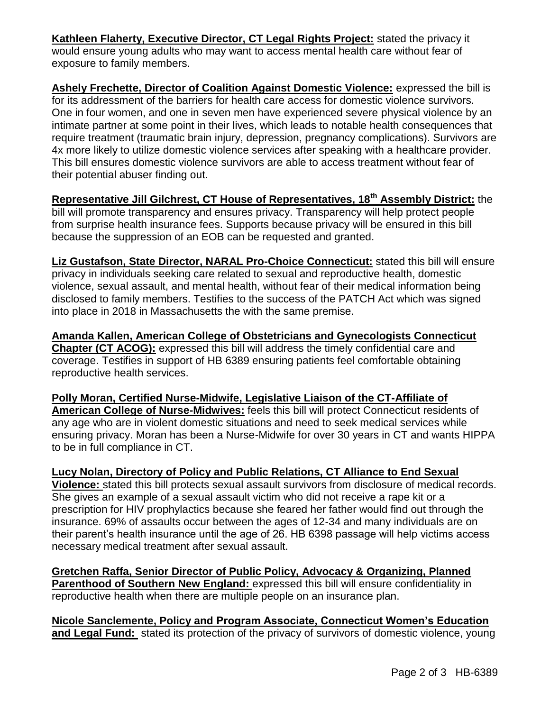**Kathleen Flaherty, Executive Director, CT Legal Rights Project:** stated the privacy it would ensure young adults who may want to access mental health care without fear of exposure to family members.

**Ashely Frechette, Director of Coalition Against Domestic Violence:** expressed the bill is for its addressment of the barriers for health care access for domestic violence survivors. One in four women, and one in seven men have experienced severe physical violence by an intimate partner at some point in their lives, which leads to notable health consequences that require treatment (traumatic brain injury, depression, pregnancy complications). Survivors are 4x more likely to utilize domestic violence services after speaking with a healthcare provider. This bill ensures domestic violence survivors are able to access treatment without fear of their potential abuser finding out.

**Representative Jill Gilchrest, CT House of Representatives, 18th Assembly District:** the bill will promote transparency and ensures privacy. Transparency will help protect people from surprise health insurance fees. Supports because privacy will be ensured in this bill because the suppression of an EOB can be requested and granted.

**Liz Gustafson, State Director, NARAL Pro-Choice Connecticut:** stated this bill will ensure privacy in individuals seeking care related to sexual and reproductive health, domestic violence, sexual assault, and mental health, without fear of their medical information being disclosed to family members. Testifies to the success of the PATCH Act which was signed into place in 2018 in Massachusetts the with the same premise.

**Amanda Kallen, American College of Obstetricians and Gynecologists Connecticut Chapter (CT ACOG):** expressed this bill will address the timely confidential care and coverage. Testifies in support of HB 6389 ensuring patients feel comfortable obtaining reproductive health services.

**Polly Moran, Certified Nurse-Midwife, Legislative Liaison of the CT-Affiliate of American College of Nurse-Midwives:** feels this bill will protect Connecticut residents of any age who are in violent domestic situations and need to seek medical services while ensuring privacy. Moran has been a Nurse-Midwife for over 30 years in CT and wants HIPPA to be in full compliance in CT.

**Lucy Nolan, Directory of Policy and Public Relations, CT Alliance to End Sexual Violence:** stated this bill protects sexual assault survivors from disclosure of medical records. She gives an example of a sexual assault victim who did not receive a rape kit or a prescription for HIV prophylactics because she feared her father would find out through the insurance. 69% of assaults occur between the ages of 12-34 and many individuals are on their parent's health insurance until the age of 26. HB 6398 passage will help victims access necessary medical treatment after sexual assault.

**Gretchen Raffa, Senior Director of Public Policy, Advocacy & Organizing, Planned Parenthood of Southern New England:** expressed this bill will ensure confidentiality in reproductive health when there are multiple people on an insurance plan.

**Nicole Sanclemente, Policy and Program Associate, Connecticut Women's Education and Legal Fund:** stated its protection of the privacy of survivors of domestic violence, young